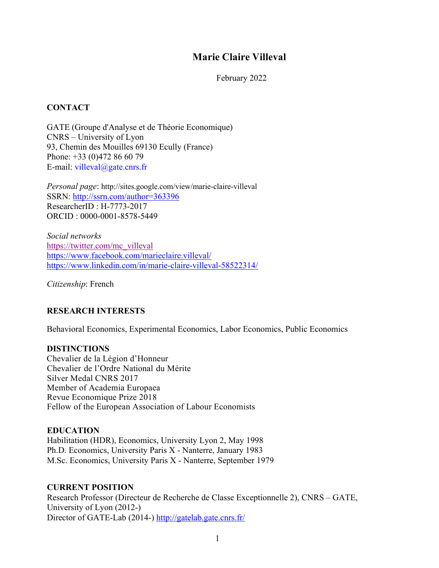# **Marie Claire Villeval**

February 2022

## **CONTACT**

GATE (Groupe d'Analyse et de Théorie Economique) CNRS – University of Lyon 93, Chemin des Mouilles 69130 Ecully (France) Phone: +33 (0)472 86 60 79 E-mail: villeval@gate.cnrs.fr

*Personal page*: http://sites.google.com/view/marie-claire-villeval SSRN: http://ssrn.com/author=363396 ResearcherID : H-7773-2017 ORCID : 0000-0001-8578-5449

*Social networks* https://twitter.com/mc\_villeval https://www.facebook.com/marieclaire.villeval/ https://www.linkedin.com/in/marie-claire-villeval-58522314/

*Citizenship*: French

# **RESEARCH INTERESTS**

Behavioral Economics, Experimental Economics, Labor Economics, Public Economics

## **DISTINCTIONS**

Chevalier de la Légion d'Honneur Chevalier de l'Ordre National du Mérite Silver Medal CNRS 2017 Member of Academia Europaea Revue Economique Prize 2018 Fellow of the European Association of Labour Economists

# **EDUCATION**

Habilitation (HDR), Economics, University Lyon 2, May 1998 Ph.D. Economics, University Paris X - Nanterre, January 1983 M.Sc. Economics, University Paris X - Nanterre, September 1979

# **CURRENT POSITION**

Research Professor (Directeur de Recherche de Classe Exceptionnelle 2), CNRS – GATE, University of Lyon (2012-) Director of GATE-Lab (2014-) http://gatelab.gate.cnrs.fr/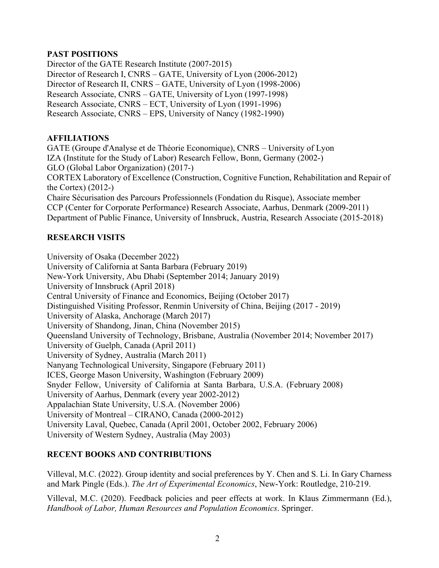# **PAST POSITIONS**

Director of the GATE Research Institute (2007-2015) Director of Research I, CNRS – GATE, University of Lyon (2006-2012) Director of Research II, CNRS – GATE, University of Lyon (1998-2006) Research Associate, CNRS – GATE, University of Lyon (1997-1998) Research Associate, CNRS – ECT, University of Lyon (1991-1996) Research Associate, CNRS – EPS, University of Nancy (1982-1990)

# **AFFILIATIONS**

GATE (Groupe d'Analyse et de Théorie Economique), CNRS – University of Lyon IZA (Institute for the Study of Labor) Research Fellow, Bonn, Germany (2002-) GLO (Global Labor Organization) (2017-) CORTEX Laboratory of Excellence (Construction, Cognitive Function, Rehabilitation and Repair of the Cortex) (2012-) Chaire Sécurisation des Parcours Professionnels (Fondation du Risque), Associate member CCP (Center for Corporate Performance) Research Associate, Aarhus, Denmark (2009-2011) Department of Public Finance, University of Innsbruck, Austria, Research Associate (2015-2018)

# **RESEARCH VISITS**

University of Osaka (December 2022) University of California at Santa Barbara (February 2019) New-York University, Abu Dhabi (September 2014; January 2019) University of Innsbruck (April 2018) Central University of Finance and Economics, Beijing (October 2017) Distinguished Visiting Professor, Renmin University of China, Beijing (2017 - 2019) University of Alaska, Anchorage (March 2017) University of Shandong, Jinan, China (November 2015) Queensland University of Technology, Brisbane, Australia (November 2014; November 2017) University of Guelph, Canada (April 2011) University of Sydney, Australia (March 2011) Nanyang Technological University, Singapore (February 2011) ICES, George Mason University, Washington (February 2009) Snyder Fellow, University of California at Santa Barbara, U.S.A. (February 2008) University of Aarhus, Denmark (every year 2002-2012) Appalachian State University, U.S.A. (November 2006) University of Montreal – CIRANO, Canada (2000-2012) University Laval, Quebec, Canada (April 2001, October 2002, February 2006) University of Western Sydney, Australia (May 2003)

# **RECENT BOOKS AND CONTRIBUTIONS**

Villeval, M.C. (2022). Group identity and social preferences by Y. Chen and S. Li. In Gary Charness and Mark Pingle (Eds.). *The Art of Experimental Economics*, New-York: Routledge, 210-219.

Villeval, M.C. (2020). Feedback policies and peer effects at work. In Klaus Zimmermann (Ed.), *Handbook of Labor, Human Resources and Population Economics*. Springer.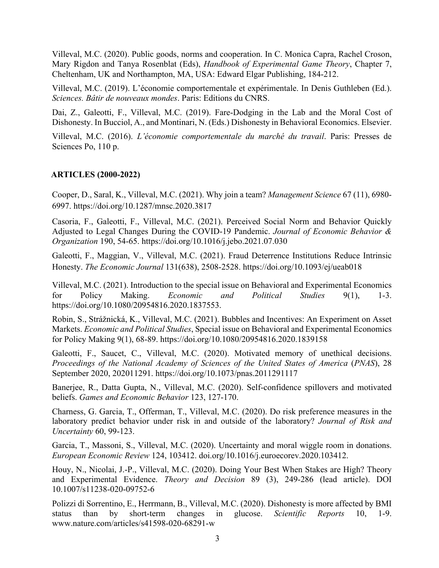Villeval, M.C. (2020). Public goods, norms and cooperation. In C. Monica Capra, Rachel Croson, Mary Rigdon and Tanya Rosenblat (Eds), *Handbook of Experimental Game Theory*, Chapter 7, Cheltenham, UK and Northampton, MA, USA: Edward Elgar Publishing, 184-212.

Villeval, M.C. (2019). L'économie comportementale et expérimentale. In Denis Guthleben (Ed.). *Sciences. Bâtir de nouveaux mondes*. Paris: Editions du CNRS.

Dai, Z., Galeotti, F., Villeval, M.C. (2019). Fare-Dodging in the Lab and the Moral Cost of Dishonesty. In Bucciol, A., and Montinari, N. (Eds.) Dishonesty in Behavioral Economics. Elsevier.

Villeval, M.C. (2016). *L'économie comportementale du marché du travail*. Paris: Presses de Sciences Po, 110 p.

#### **ARTICLES (2000-2022)**

Cooper, D., Saral, K., Villeval, M.C. (2021). Why join a team? *Management Science* 67 (11), 6980- 6997. https://doi.org/10.1287/mnsc.2020.3817

Casoria, F., Galeotti, F., Villeval, M.C. (2021). Perceived Social Norm and Behavior Quickly Adjusted to Legal Changes During the COVID-19 Pandemic. *Journal of Economic Behavior & Organization* 190, 54-65. https://doi.org/10.1016/j.jebo.2021.07.030

Galeotti, F., Maggian, V., Villeval, M.C. (2021). Fraud Deterrence Institutions Reduce Intrinsic Honesty. *The Economic Journal* 131(638), 2508-2528. https://doi.org/10.1093/ej/ueab018

Villeval, M.C. (2021). Introduction to the special issue on Behavioral and Experimental Economics for Policy Making. *Economic and Political Studies* 9(1), 1-3. https://doi.org/10.1080/20954816.2020.1837553.

Robin, S., Strážnická, K., Villeval, M.C. (2021). Bubbles and Incentives: An Experiment on Asset Markets. *Economic and Political Studies*, Special issue on Behavioral and Experimental Economics for Policy Making 9(1), 68-89. https://doi.org/10.1080/20954816.2020.1839158

Galeotti, F., Saucet, C., Villeval, M.C. (2020). Motivated memory of unethical decisions. *Proceedings of the National Academy of Sciences of the United States of America* (*PNAS*), 28 September 2020, 202011291. https://doi.org/10.1073/pnas.2011291117

Banerjee, R., Datta Gupta, N., Villeval, M.C. (2020). Self-confidence spillovers and motivated beliefs. *Games and Economic Behavior* 123, 127-170.

Charness, G. Garcia, T., Offerman, T., Villeval, M.C. (2020). Do risk preference measures in the laboratory predict behavior under risk in and outside of the laboratory? *Journal of Risk and Uncertainty* 60, 99-123.

Garcia, T., Massoni, S., Villeval, M.C. (2020). Uncertainty and moral wiggle room in donations. *European Economic Review* 124, 103412. doi.org/10.1016/j.euroecorev.2020.103412.

Houy, N., Nicolai, J.-P., Villeval, M.C. (2020). Doing Your Best When Stakes are High? Theory and Experimental Evidence. *Theory and Decision* 89 (3), 249-286 (lead article). DOI 10.1007/s11238-020-09752-6

Polizzi di Sorrentino, E., Herrmann, B., Villeval, M.C. (2020). Dishonesty is more affected by BMI status than by short-term changes in glucose. *Scientific Reports* 10, 1-9. www.nature.com/articles/s41598-020-68291-w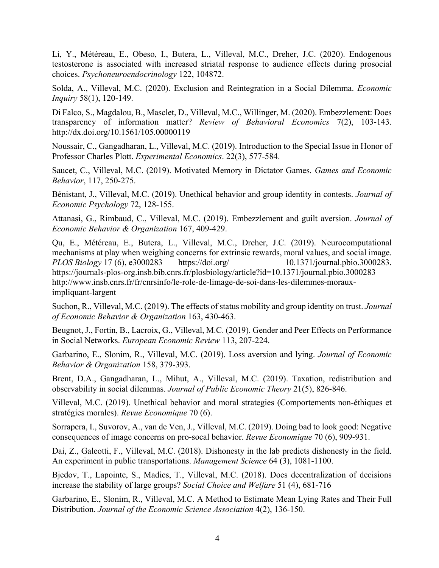Li, Y., Météreau, E., Obeso, I., Butera, L., Villeval, M.C., Dreher, J.C. (2020). Endogenous testosterone is associated with increased striatal response to audience effects during prosocial choices. *Psychoneuroendocrinology* 122, 104872.

Solda, A., Villeval, M.C. (2020). Exclusion and Reintegration in a Social Dilemma. *Economic Inquiry* 58(1), 120-149.

Di Falco, S., Magdalou, B., Masclet, D., Villeval, M.C., Willinger, M. (2020). Embezzlement: Does transparency of information matter? *Review of Behavioral Economics* 7(2), 103-143. http://dx.doi.org/10.1561/105.00000119

Noussair, C., Gangadharan, L., Villeval, M.C. (2019). Introduction to the Special Issue in Honor of Professor Charles Plott. *Experimental Economics*. 22(3), 577-584.

Saucet, C., Villeval, M.C. (2019). Motivated Memory in Dictator Games. *Games and Economic Behavior*, 117, 250-275.

Bénistant, J., Villeval, M.C. (2019). Unethical behavior and group identity in contests. *Journal of Economic Psychology* 72, 128-155.

Attanasi, G., Rimbaud, C., Villeval, M.C. (2019). Embezzlement and guilt aversion. *Journal of Economic Behavior & Organization* 167, 409-429.

Qu, E., Météreau, E., Butera, L., Villeval, M.C., Dreher, J.C. (2019). Neurocomputational mechanisms at play when weighing concerns for extrinsic rewards, moral values, and social image. *PLOS Biology* 17 (6), e3000283 https://doi.org/ 10.1371/journal.pbio.3000283. https://journals-plos-org.insb.bib.cnrs.fr/plosbiology/article?id=10.1371/journal.pbio.3000283 http://www.insb.cnrs.fr/fr/cnrsinfo/le-role-de-limage-de-soi-dans-les-dilemmes-morauximpliquant-largent

Suchon, R., Villeval, M.C. (2019). The effects of status mobility and group identity on trust. *Journal of Economic Behavior & Organization* 163, 430-463.

Beugnot, J., Fortin, B., Lacroix, G., Villeval, M.C. (2019). Gender and Peer Effects on Performance in Social Networks. *European Economic Review* 113, 207-224.

Garbarino, E., Slonim, R., Villeval, M.C. (2019). Loss aversion and lying. *Journal of Economic Behavior & Organization* 158, 379-393.

Brent, D.A., Gangadharan, L., Mihut, A., Villeval, M.C. (2019). Taxation, redistribution and observability in social dilemmas. *Journal of Public Economic Theory* 21(5), 826-846.

Villeval, M.C. (2019). Unethical behavior and moral strategies (Comportements non-éthiques et stratégies morales). *Revue Economique* 70 (6).

Sorrapera, I., Suvorov, A., van de Ven, J., Villeval, M.C. (2019). Doing bad to look good: Negative consequences of image concerns on pro-socal behavior. *Revue Economique* 70 (6), 909-931.

Dai, Z., Galeotti, F., Villeval, M.C. (2018). Dishonesty in the lab predicts dishonesty in the field. An experiment in public transportations. *Management Science* 64 (3), 1081-1100.

Bjedov, T., Lapointe, S., Madies, T., Villeval, M.C. (2018). Does decentralization of decisions increase the stability of large groups? *Social Choice and Welfare* 51 (4), 681-716

Garbarino, E., Slonim, R., Villeval, M.C. A Method to Estimate Mean Lying Rates and Their Full Distribution. *Journal of the Economic Science Association* 4(2), 136-150.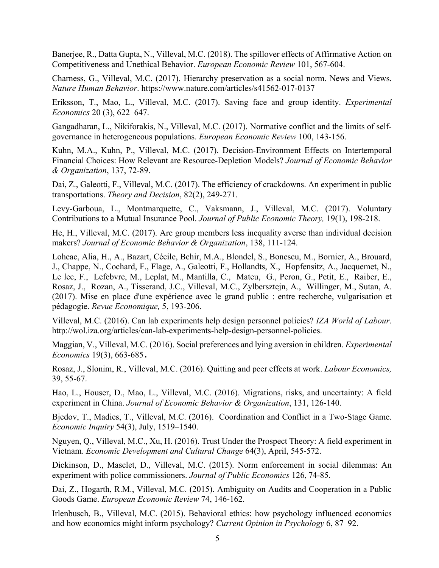Banerjee, R., Datta Gupta, N., Villeval, M.C. (2018). The spillover effects of Affirmative Action on Competitiveness and Unethical Behavior. *European Economic Review* 101, 567-604.

Charness, G., Villeval, M.C. (2017). Hierarchy preservation as a social norm. News and Views. *Nature Human Behavior*. https://www.nature.com/articles/s41562-017-0137

Eriksson, T., Mao, L., Villeval, M.C. (2017). Saving face and group identity. *Experimental Economics* 20 (3), 622–647.

Gangadharan, L., Nikiforakis, N., Villeval, M.C. (2017). Normative conflict and the limits of selfgovernance in heterogeneous populations. *European Economic Review* 100, 143-156.

Kuhn, M.A., Kuhn, P., Villeval, M.C. (2017). Decision-Environment Effects on Intertemporal Financial Choices: How Relevant are Resource-Depletion Models? *Journal of Economic Behavior & Organization*, 137, 72-89.

Dai, Z., Galeotti, F., Villeval, M.C. (2017). The efficiency of crackdowns. An experiment in public transportations. *Theory and Decision*, 82(2), 249-271.

Levy-Garboua, L., Montmarquette, C., Vaksmann, J., Villeval, M.C. (2017). Voluntary Contributions to a Mutual Insurance Pool. *Journal of Public Economic Theory,* 19(1), 198-218.

He, H., Villeval, M.C. (2017). Are group members less inequality averse than individual decision makers? *Journal of Economic Behavior & Organization*, 138, 111-124.

Loheac, Alia, H., A., Bazart, Cécile, Bchir, M.A., Blondel, S., Bonescu, M., Bornier, A., Brouard, J., Chappe, N., Cochard, F., Flage, A., Galeotti, F., Hollandts, X., Hopfensitz, A., Jacquemet, N., Le lec, F., Lefebvre, M., Leplat, M., Mantilla, C., Mateu, G., Peron, G., Petit, E., Raiber, E., Rosaz, J., Rozan, A., Tisserand, J.C., Villeval, M.C., Zylbersztejn, A., Willinger, M., Sutan, A. (2017). Mise en place d'une expérience avec le grand public : entre recherche, vulgarisation et pédagogie. *Revue Economique,* 5, 193-206.

Villeval, M.C. (2016). Can lab experiments help design personnel policies? *IZA World of Labour*. http://wol.iza.org/articles/can-lab-experiments-help-design-personnel-policies.

Maggian, V., Villeval, M.C. (2016). Social preferences and lying aversion in children. *Experimental Economics* 19(3), 663-685.

Rosaz, J., Slonim, R., Villeval, M.C. (2016). Quitting and peer effects at work. *Labour Economics,*  39, 55-67.

Hao, L., Houser, D., Mao, L., Villeval, M.C. (2016). Migrations, risks, and uncertainty: A field experiment in China. *Journal of Economic Behavior & Organization*, 131, 126-140.

Bjedov, T., Madies, T., Villeval, M.C. (2016). Coordination and Conflict in a Two-Stage Game. *Economic Inquiry* 54(3), July, 1519–1540.

Nguyen, Q., Villeval, M.C., Xu, H. (2016). Trust Under the Prospect Theory: A field experiment in Vietnam. *Economic Development and Cultural Change* 64(3), April, 545-572.

Dickinson, D., Masclet, D., Villeval, M.C. (2015). Norm enforcement in social dilemmas: An experiment with police commissioners. *Journal of Public Economics* 126, 74-85.

Dai, Z., Hogarth, R.M., Villeval, M.C. (2015). Ambiguity on Audits and Cooperation in a Public Goods Game. *European Economic Review* 74, 146-162.

Irlenbusch, B., Villeval, M.C. (2015). Behavioral ethics: how psychology influenced economics and how economics might inform psychology? *Current Opinion in Psychology* 6, 87–92.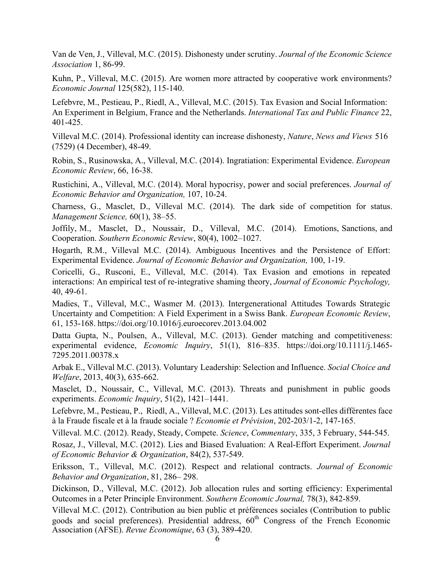Van de Ven, J., Villeval, M.C. (2015). Dishonesty under scrutiny. *Journal of the Economic Science Association* 1, 86-99.

Kuhn, P., Villeval, M.C. (2015). Are women more attracted by cooperative work environments? *Economic Journal* 125(582), 115-140.

Lefebvre, M., Pestieau, P., Riedl, A., Villeval, M.C. (2015). Tax Evasion and Social Information: An Experiment in Belgium, France and the Netherlands. *International Tax and Public Finance* 22, 401-425.

Villeval M.C. (2014). Professional identity can increase dishonesty, *Nature*, *News and Views* 516 (7529) (4 December), 48-49.

Robin, S., Rusinowska, A., Villeval, M.C. (2014). Ingratiation: Experimental Evidence. *European Economic Review*, 66, 16-38.

Rustichini, A., Villeval, M.C. (2014). Moral hypocrisy, power and social preferences. *Journal of Economic Behavior and Organization,* 107, 10-24.

Charness, G., Masclet, D., Villeval M.C. (2014). The dark side of competition for status. *Management Science,* 60(1), 38–55.

Joffily, M., Masclet, D., Noussair, D., Villeval, M.C. (2014). Emotions, Sanctions, and Cooperation. *Southern Economic Review*, 80(4), 1002–1027.

Hogarth, R.M., Villeval M.C. (2014). Ambiguous Incentives and the Persistence of Effort: Experimental Evidence. *Journal of Economic Behavior and Organization,* 100, 1-19.

Coricelli, G., Rusconi, E., Villeval, M.C. (2014). Tax Evasion and emotions in repeated interactions: An empirical test of re-integrative shaming theory, *Journal of Economic Psychology,*  40, 49-61.

Madies, T., Villeval, M.C., Wasmer M. (2013). Intergenerational Attitudes Towards Strategic Uncertainty and Competition: A Field Experiment in a Swiss Bank. *European Economic Review*, 61, 153-168. https://doi.org/10.1016/j.euroecorev.2013.04.002

Datta Gupta, N., Poulsen, A., Villeval, M.C. (2013). Gender matching and competitiveness: experimental evidence, *Economic Inquiry*, 51(1), 816–835. https://doi.org/10.1111/j.1465- 7295.2011.00378.x

Arbak E., Villeval M.C. (2013). Voluntary Leadership: Selection and Influence. *Social Choice and Welfare*, 2013, 40(3), 635-662.

Masclet, D., Noussair, C., Villeval, M.C. (2013). Threats and punishment in public goods experiments. *Economic Inquiry*, 51(2), 1421–1441.

Lefebvre, M., Pestieau, P., Riedl, A., Villeval, M.C. (2013). Les attitudes sont-elles différentes face à la Fraude fiscale et à la fraude sociale ? *Economie et Prévision*, 202-203/1-2, 147-165.

Villeval. M.C. (2012). Ready, Steady, Compete. *Science*, *Commentary*, 335, 3 February, 544-545.

Rosaz, J., Villeval, M.C. (2012). Lies and Biased Evaluation: A Real-Effort Experiment. *Journal of Economic Behavior & Organization*, 84(2), 537-549.

Eriksson, T., Villeval, M.C. (2012). Respect and relational contracts. *Journal of Economic Behavior and Organization*, 81, 286– 298.

Dickinson, D., Villeval, M.C. (2012). Job allocation rules and sorting efficiency: Experimental Outcomes in a Peter Principle Environment. *Southern Economic Journal,* 78(3), 842-859.

Villeval M.C. (2012). Contribution au bien public et préférences sociales (Contribution to public goods and social preferences). Presidential address,  $60<sup>th</sup>$  Congress of the French Economic Association (AFSE). *Revue Economique*, 63 (3), 389-420.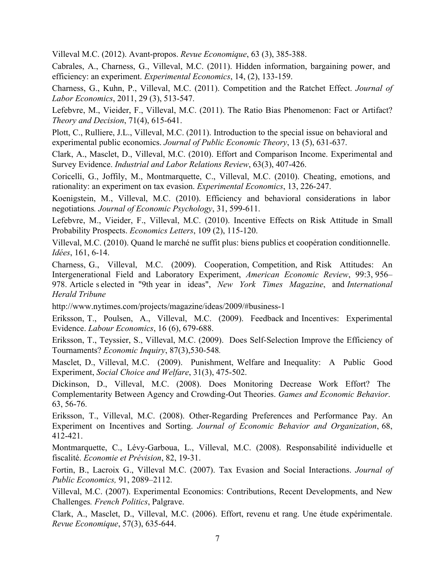Villeval M.C. (2012). Avant-propos. *Revue Economique*, 63 (3), 385-388.

Cabrales, A., Charness, G., Villeval, M.C. (2011). Hidden information, bargaining power, and efficiency: an experiment. *Experimental Economics*, 14, (2), 133-159.

Charness, G., Kuhn, P., Villeval, M.C. (2011). Competition and the Ratchet Effect. *Journal of Labor Economics*, 2011, 29 (3), 513-547.

Lefebvre, M., Vieider, F., Villeval, M.C. (2011). The Ratio Bias Phenomenon: Fact or Artifact? *Theory and Decision*, 71(4), 615-641.

Plott, C., Rulliere, J.L., Villeval, M.C. (2011). Introduction to the special issue on behavioral and experimental public economics. *Journal of Public Economic Theory*, 13 (5), 631-637.

Clark, A., Masclet, D., Villeval, M.C. (2010). Effort and Comparison Income. Experimental and Survey Evidence. *Industrial and Labor Relations Review*, 63(3), 407-426.

Coricelli, G., Joffily, M., Montmarquette, C., Villeval, M.C. (2010). Cheating, emotions, and rationality: an experiment on tax evasion. *Experimental Economics*, 13, 226-247.

Koenigstein, M., Villeval, M.C. (2010). Efficiency and behavioral considerations in labor negotiations*. Journal of Economic Psychology*, 31, 599-611.

Lefebvre, M., Vieider, F., Villeval, M.C. (2010). Incentive Effects on Risk Attitude in Small Probability Prospects. *Economics Letters*, 109 (2), 115-120.

Villeval, M.C. (2010). Quand le marché ne suffit plus: biens publics et coopération conditionnelle. *Idées*, 161, 6-14.

Charness, G., Villeval, M.C. (2009). Cooperation, Competition, and Risk Attitudes: An Intergenerational Field and Laboratory Experiment, *American Economic Review*, 99:3, 956– 978. Article s elected in "9th year in ideas", *New York Times Magazine*, and *International Herald Tribune*

http://www.nytimes.com/projects/magazine/ideas/2009/#business-1

Eriksson, T., Poulsen, A., Villeval, M.C. (2009). Feedback and Incentives: Experimental Evidence. *Labour Economics*, 16 (6), 679-688.

Eriksson, T., Teyssier, S., Villeval, M.C. (2009). Does Self-Selection Improve the Efficiency of Tournaments? *Economic Inquiry*, 87(3),530-548*.*

Masclet, D., Villeval, M.C. (2009). Punishment, Welfare and Inequality: A Public Good Experiment, *Social Choice and Welfare*, 31(3), 475-502.

Dickinson, D., Villeval, M.C. (2008). Does Monitoring Decrease Work Effort? The Complementarity Between Agency and Crowding-Out Theories. *Games and Economic Behavior*. 63, 56-76.

Eriksson, T., Villeval, M.C. (2008). Other-Regarding Preferences and Performance Pay. An Experiment on Incentives and Sorting. *Journal of Economic Behavior and Organization*, 68, 412-421.

Montmarquette, C., Lévy-Garboua, L., Villeval, M.C. (2008). Responsabilité individuelle et fiscalité. *Economie et Prévision*, 82, 19-31.

Fortin, B., Lacroix G., Villeval M.C. (2007). Tax Evasion and Social Interactions. *Journal of Public Economics,* 91, 2089–2112.

Villeval, M.C. (2007). Experimental Economics: Contributions, Recent Developments, and New Challenges*. French Politics*, Palgrave.

Clark, A., Masclet, D., Villeval, M.C. (2006). Effort, revenu et rang. Une étude expérimentale. *Revue Economique*, 57(3), 635-644.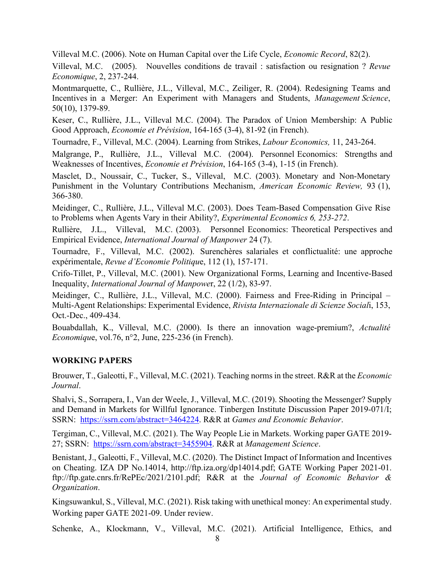Villeval M.C. (2006). Note on Human Capital over the Life Cycle, *Economic Record*, 82(2).

Villeval, M.C. (2005). Nouvelles conditions de travail : satisfaction ou resignation ? *Revue Economique*, 2, 237-244.

Montmarquette, C., Rullière, J.L., Villeval, M.C., Zeiliger, R. (2004). Redesigning Teams and Incentives in a Merger: An Experiment with Managers and Students, *Management Science*, 50(10), 1379-89.

Keser, C., Rullière, J.L., Villeval M.C. (2004). The Paradox of Union Membership: A Public Good Approach, *Economie et Prévision*, 164-165 (3-4), 81-92 (in French).

Tournadre, F., Villeval, M.C. (2004). Learning from Strikes, *Labour Economics,* 11, 243-264.

Malgrange, P., Rullière, J.L., Villeval M.C. (2004). Personnel Economics: Strengths and Weaknesses of Incentives, *Economie et Prévision*, 164-165 (3-4), 1-15 (in French).

Masclet, D., Noussair, C., Tucker, S., Villeval, M.C. (2003). Monetary and Non-Monetary Punishment in the Voluntary Contributions Mechanism, *American Economic Review,* 93 (1), 366-380.

Meidinger, C., Rullière, J.L., Villeval M.C. (2003). Does Team-Based Compensation Give Rise to Problems when Agents Vary in their Ability?, *Experimental Economics 6, 253-272*.

Rullière, J.L., Villeval, M.C. (2003). Personnel Economics: Theoretical Perspectives and Empirical Evidence, *International Journal of Manpower* 24 (7).

Tournadre, F., Villeval, M.C. (2002). Surenchères salariales et conflictualité: une approche expérimentale, *Revue d'Economie Politiqu*e, 112 (1), 157-171.

Crifo-Tillet, P., Villeval, M.C. (2001). New Organizational Forms, Learning and Incentive-Based Inequality, *International Journal of Manpowe*r, 22 (1/2), 83-97.

Meidinger, C., Rullière, J.L., Villeval, M.C. (2000). Fairness and Free-Riding in Principal – Multi-Agent Relationships: Experimental Evidence, *Rivista Internazionale di Scienze Social*i, 153, Oct.-Dec., 409-434.

Bouabdallah, K., Villeval, M.C. (2000). Is there an innovation wage-premium?, *Actualité Economiqu*e, vol.76, n°2, June, 225-236 (in French).

# **WORKING PAPERS**

Brouwer, T., Galeotti, F., Villeval, M.C. (2021). Teaching norms in the street. R&R at the *Economic Journal*.

Shalvi, S., Sorrapera, I., Van der Weele, J., Villeval, M.C. (2019). Shooting the Messenger? Supply and Demand in Markets for Willful Ignorance. Tinbergen Institute Discussion Paper 2019-071/I; SSRN: https://ssrn.com/abstract=3464224. R&R at *Games and Economic Behavior*.

Tergiman, C., Villeval, M.C. (2021). The Way People Lie in Markets. Working paper GATE 2019- 27; SSRN: https://ssrn.com/abstract=3455904. R&R at *Management Science*.

Benistant, J., Galeotti, F., Villeval, M.C. (2020). The Distinct Impact of Information and Incentives on Cheating. IZA DP No.14014, http://ftp.iza.org/dp14014.pdf; GATE Working Paper 2021-01. ftp://ftp.gate.cnrs.fr/RePEc/2021/2101.pdf; R&R at the *Journal of Economic Behavior & Organization*.

Kingsuwankul, S., Villeval, M.C. (2021). Risk taking with unethical money: An experimental study. Working paper GATE 2021-09. Under review.

Schenke, A., Klockmann, V., Villeval, M.C. (2021). Artificial Intelligence, Ethics, and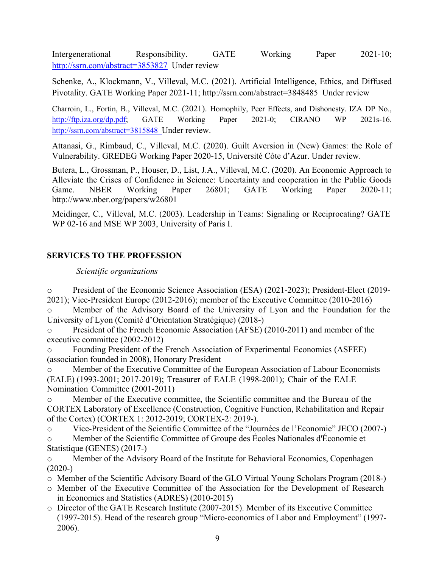Intergenerational Responsibility. GATE Working Paper 2021-10; http://ssrn.com/abstract=3853827 Under review

Schenke, A., Klockmann, V., Villeval, M.C. (2021). Artificial Intelligence, Ethics, and Diffused Pivotality. GATE Working Paper 2021-11; http://ssrn.com/abstract=3848485 Under review

Charroin, L., Fortin, B., Villeval, M.C. (2021). Homophily, Peer Effects, and Dishonesty. IZA DP No., http://ftp.iza.org/dp.pdf; GATE Working Paper 2021-0; CIRANO WP 2021s-16. http://ssrn.com/abstract=3815848 Under review.

Attanasi, G., Rimbaud, C., Villeval, M.C. (2020). Guilt Aversion in (New) Games: the Role of Vulnerability. GREDEG Working Paper 2020-15, Université Côte d'Azur. Under review.

Butera, L., Grossman, P., Houser, D., List, J.A., Villeval, M.C. (2020). An Economic Approach to Alleviate the Crises of Confidence in Science: Uncertainty and cooperation in the Public Goods Game. NBER Working Paper 26801; GATE Working Paper 2020-11; http://www.nber.org/papers/w26801

Meidinger, C., Villeval, M.C. (2003). Leadership in Teams: Signaling or Reciprocating? GATE WP 02-16 and MSE WP 2003, University of Paris I.

# **SERVICES TO THE PROFESSION**

## *Scientific organizations*

o President of the Economic Science Association (ESA) (2021-2023); President-Elect (2019- 2021); Vice-President Europe (2012-2016); member of the Executive Committee (2010-2016)

Member of the Advisory Board of the University of Lyon and the Foundation for the University of Lyon (Comité d'Orientation Stratégique) (2018-)

o President of the French Economic Association (AFSE) (2010-2011) and member of the executive committee (2002-2012)

o Founding President of the French Association of Experimental Economics (ASFEE) (association founded in 2008), Honorary President

o Member of the Executive Committee of the European Association of Labour Economists (EALE) (1993-2001; 2017-2019); Treasurer of EALE (1998-2001); Chair of the EALE Nomination Committee (2001-2011)

o Member of the Executive committee, the Scientific committee and the Bureau of the CORTEX Laboratory of Excellence (Construction, Cognitive Function, Rehabilitation and Repair of the Cortex) (CORTEX 1: 2012-2019; CORTEX-2: 2019-).

o Vice-President of the Scientific Committee of the "Journées de l'Economie" JECO (2007-) o Member of the Scientific Committee of Groupe des Écoles Nationales d'Économie et Statistique (GENES) (2017-)

o Member of the Advisory Board of the Institute for Behavioral Economics, Copenhagen (2020-)

o Member of the Scientific Advisory Board of the GLO Virtual Young Scholars Program (2018-)

- o Member of the Executive Committee of the Association for the Development of Research in Economics and Statistics (ADRES) (2010-2015)
- o Director of the GATE Research Institute (2007-2015). Member of its Executive Committee (1997-2015). Head of the research group "Micro-economics of Labor and Employment" (1997- 2006).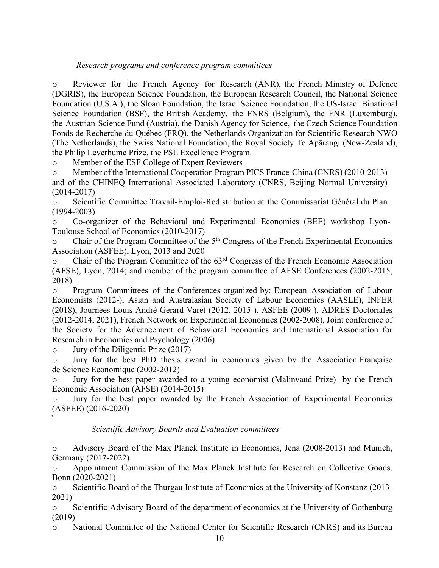## *Research programs and conference program committees*

o Reviewer for the French Agency for Research (ANR), the French Ministry of Defence (DGRIS), the European Science Foundation, the European Research Council, the National Science Foundation (U.S.A.), the Sloan Foundation, the Israel Science Foundation, the US-Israel Binational Science Foundation (BSF), the British Academy, the FNRS (Belgium), the FNR (Luxemburg), the Austrian Science Fund (Austria), the Danish Agency for Science, the Czech Science Foundation Fonds de Recherche du Québec (FRQ), the Netherlands Organization for Scientific Research NWO (The Netherlands), the Swiss National Foundation, the Royal Society Te Apārangi (New-Zealand), the Philip Leverhume Prize, the PSL Excellence Program.

o Member of the ESF College of Expert Reviewers

o Member of the International Cooperation Program PICS France-China (CNRS) (2010-2013) and of the CHINEQ International Associated Laboratory (CNRS, Beijing Normal University) (2014-2017)

o Scientific Committee Travail-Emploi-Redistribution at the Commissariat Général du Plan (1994-2003)

o Co-organizer of the Behavioral and Experimental Economics (BEE) workshop Lyon-Toulouse School of Economics (2010-2017)

Chair of the Program Committee of the  $5<sup>th</sup>$  Congress of the French Experimental Economics Association (ASFEE), Lyon, 2013 and 2020

Chair of the Program Committee of the  $63<sup>rd</sup>$  Congress of the French Economic Association (AFSE), Lyon, 2014; and member of the program committee of AFSE Conferences (2002-2015, 2018)

o Program Committees of the Conferences organized by: European Association of Labour Economists (2012-), Asian and Australasian Society of Labour Economics (AASLE), INFER (2018), Journées Louis-André Gérard-Varet (2012, 2015-), ASFEE (2009-), ADRES Doctoriales (2012-2014, 2021), French Network on Experimental Economics (2002-2008), Joint conference of the Society for the Advancement of Behavioral Economics and International Association for Research in Economics and Psychology (2006)

o Jury of the Diligentia Prize (2017)

`

o Jury for the best PhD thesis award in economics given by the Association Française de Science Economique (2002-2012)

o Jury for the best paper awarded to a young economist (Malinvaud Prize) by the French Economic Association (AFSE) (2014-2015)

Jury for the best paper awarded by the French Association of Experimental Economics (ASFEE) (2016-2020)

## *Scientific Advisory Boards and Evaluation committees*

o Advisory Board of the Max Planck Institute in Economics, Jena (2008-2013) and Munich, Germany (2017-2022)

o Appointment Commission of the Max Planck Institute for Research on Collective Goods, Bonn (2020-2021)

o Scientific Board of the Thurgau Institute of Economics at the University of Konstanz (2013- 2021)

o Scientific Advisory Board of the department of economics at the University of Gothenburg (2019)

o National Committee of the National Center for Scientific Research (CNRS) and its Bureau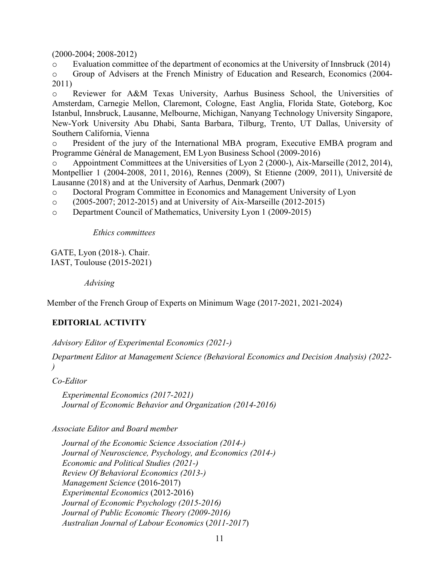(2000-2004; 2008-2012)

o Evaluation committee of the department of economics at the University of Innsbruck (2014)

o Group of Advisers at the French Ministry of Education and Research, Economics (2004- 2011)

o Reviewer for A&M Texas University, Aarhus Business School, the Universities of Amsterdam, Carnegie Mellon, Claremont, Cologne, East Anglia, Florida State, Goteborg, Koc Istanbul, Innsbruck, Lausanne, Melbourne, Michigan, Nanyang Technology University Singapore, New-York University Abu Dhabi, Santa Barbara, Tilburg, Trento, UT Dallas, University of Southern California, Vienna

o President of the jury of the International MBA program, Executive EMBA program and Programme Général de Management, EM Lyon Business School (2009-2016)

o Appointment Committees at the Universities of Lyon 2 (2000-), Aix-Marseille (2012, 2014), Montpellier 1 (2004-2008, 2011, 2016), Rennes (2009), St Etienne (2009, 2011), Université de Lausanne (2018) and at the University of Aarhus, Denmark (2007)

o Doctoral Program Committee in Economics and Management University of Lyon

o (2005-2007; 2012-2015) and at University of Aix-Marseille (2012-2015)

o Department Council of Mathematics, University Lyon 1 (2009-2015)

*Ethics committees*

GATE, Lyon (2018-). Chair. IAST, Toulouse (2015-2021)

*Advising*

Member of the French Group of Experts on Minimum Wage (2017-2021, 2021-2024)

# **EDITORIAL ACTIVITY**

*Advisory Editor of Experimental Economics (2021-)*

*Department Editor at Management Science (Behavioral Economics and Decision Analysis) (2022- )*

*Co-Editor*

*Experimental Economics (2017-2021) Journal of Economic Behavior and Organization (2014-2016)*

*Associate Editor and Board member*

*Journal of the Economic Science Association (2014-) Journal of Neuroscience, Psychology, and Economics (2014-) Economic and Political Studies (2021-) Review Of Behavioral Economics (2013-) Management Science* (2016-2017) *Experimental Economics* (2012-2016) *Journal of Economic Psychology (2015-2016) Journal of Public Economic Theory (2009-2016) Australian Journal of Labour Economics* (*2011-2017*)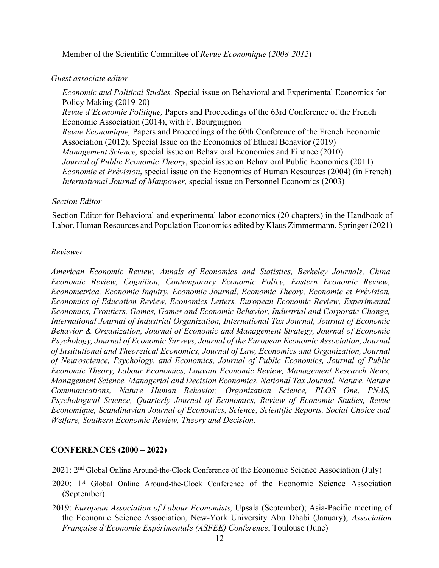Member of the Scientific Committee of *Revue Economique* (*2008-2012*)

### *Guest associate editor*

*Economic and Political Studies,* Special issue on Behavioral and Experimental Economics for Policy Making (2019-20) *Revue d'Economie Politique,* Papers and Proceedings of the 63rd Conference of the French Economic Association (2014), with F. Bourguignon *Revue Economique,* Papers and Proceedings of the 60th Conference of the French Economic Association (2012); Special Issue on the Economics of Ethical Behavior (2019) *Management Science,* special issue on Behavioral Economics and Finance (2010) *Journal of Public Economic Theory*, special issue on Behavioral Public Economics (2011) *Economie et Prévision*, special issue on the Economics of Human Resources (2004) (in French) *International Journal of Manpower,* special issue on Personnel Economics (2003)

#### *Section Editor*

Section Editor for Behavioral and experimental labor economics (20 chapters) in the Handbook of Labor, Human Resources and Population Economics edited by Klaus Zimmermann, Springer (2021)

#### *Reviewer*

*American Economic Review, Annals of Economics and Statistics, Berkeley Journals, China Economic Review, Cognition, Contemporary Economic Policy, Eastern Economic Review, Econometrica, Economic Inquiry, Economic Journal, Economic Theory, Economie et Prévision, Economics of Education Review, Economics Letters, European Economic Review, Experimental Economics, Frontiers, Games, Games and Economic Behavior, Industrial and Corporate Change, International Journal of Industrial Organization, International Tax Journal, Journal of Economic Behavior & Organization, Journal of Economic and Management Strategy, Journal of Economic Psychology, Journal of Economic Surveys, Journal of the European Economic Association, Journal of Institutional and Theoretical Economics, Journal of Law, Economics and Organization, Journal of Neuroscience, Psychology, and Economics, Journal of Public Economics, Journal of Public Economic Theory, Labour Economics, Louvain Economic Review, Management Research News, Management Science, Managerial and Decision Economics, National Tax Journal, Nature, Nature Communications, Nature Human Behavior, Organization Science, PLOS One, PNAS, Psychological Science, Quarterly Journal of Economics, Review of Economic Studies, Revue Economique, Scandinavian Journal of Economics, Science, Scientific Reports, Social Choice and Welfare, Southern Economic Review, Theory and Decision.*

## **CONFERENCES (2000 – 2022)**

2021: 2nd Global Online Around-the-Clock Conference of the Economic Science Association (July)

- 2020: 1st Global Online Around-the-Clock Conference of the Economic Science Association (September)
- 2019: *European Association of Labour Economists,* Upsala (September); Asia-Pacific meeting of the Economic Science Association, New-York University Abu Dhabi (January); *Association Française d'Economie Expérimentale (ASFEE) Conference*, Toulouse (June)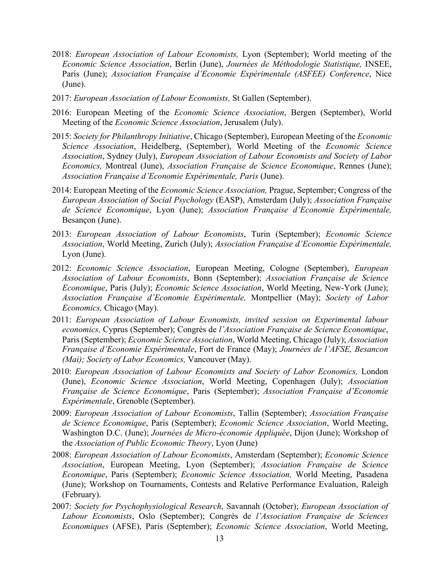- 2018: *European Association of Labour Economists,* Lyon (September); World meeting of the *Economic Science Association*, Berlin (June), *Journées de Méthodologie Statistique,* INSEE, Paris (June); *Association Française d'Economie Expérimentale (ASFEE) Conference*, Nice (June).
- 2017: *European Association of Labour Economists,* St Gallen (September).
- 2016: European Meeting of the *Economic Science Association*, Bergen (September), World Meeting of the *Economic Science Association*, Jerusalem (July).
- 2015: *Society for Philanthropy Initiative*, Chicago (September), European Meeting of the *Economic Science Association*, Heidelberg, (September), World Meeting of the *Economic Science Association*, Sydney (July), *European Association of Labour Economists and Society of Labor Economics,* Montreal (June), *Association Française de Science Economique*, Rennes (June); *Association Française d'Economie Expérimentale, Paris* (June).
- 2014: European Meeting of the *Economic Science Association,* Prague, September; Congress of the *European Association of Social Psychology* (EASP), Amsterdam (July); *Association Française de Science Economique*, Lyon (June); *Association Française d'Economie Expérimentale,*  Besançon (June).
- 2013: *European Association of Labour Economists*, Turin (September); *Economic Science Association*, World Meeting, Zurich (July); *Association Française d'Economie Expérimentale,*  Lyon (June).
- 2012: *Economic Science Association*, European Meeting, Cologne (September), *European Association of Labour Economists*, Bonn (September); *Association Française de Science Economique*, Paris (July); *Economic Science Association*, World Meeting, New-York (June); *Association Française d'Economie Expérimentale,* Montpellier (May); *Society of Labor Economics,* Chicago (May).
- 2011: *European Association of Labour Economists, invited session on Experimental labour economics,* Cyprus (September); Congrès de *l'Association Française de Science Economique*, Paris (September); *Economic Science Association*, World Meeting, Chicago (July); *Association Française d'Economie Expérimentale*, Fort de France (May); *Journées de l'AFSE, Besancon (Mai); Society of Labor Economics,* Vancouver (May).
- 2010: *European Association of Labour Economists and Society of Labor Economics,* London (June), *Economic Science Association*, World Meeting, Copenhagen (July); *Association Française de Science Economique*, Paris (September); *Association Française d'Economie Expérimentale*, Grenoble (September).
- 2009: *European Association of Labour Economists*, Tallin (September); *Association Française de Science Economique*, Paris (September); *Economic Science Association*, World Meeting, Washington D.C. (June); *Journées de Micro-économie Appliquée*, Dijon (June); Workshop of the *Association of Public Economic Theory*, Lyon (June)
- 2008: *European Association of Labour Economists*, Amsterdam (September); *Economic Science Association*, European Meeting, Lyon (September); *Association Française de Science Economique*, Paris (September); *Economic Science Association,* World Meeting, Pasadena (June); Workshop on Tournaments, Contests and Relative Performance Evaluation, Raleigh (February).
- 2007: *Society for Psychophysiological Research*, Savannah (October); *European Association of Labour Economists*, Oslo (September); Congrès de *l'Association Française de Sciences Economiques* (AFSE), Paris (September); *Economic Science Association*, World Meeting,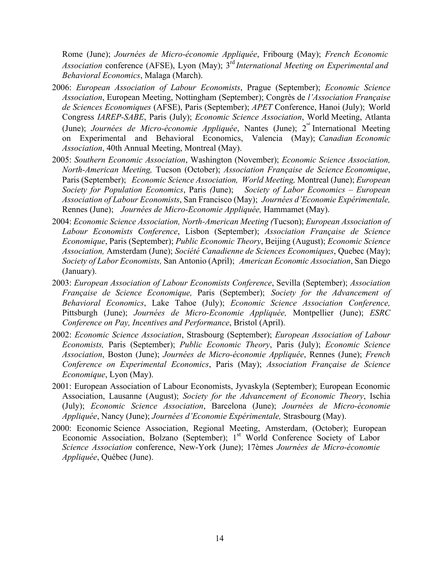Rome (June); *Journées de Micro-économie Appliquée*, Fribourg (May); *French Economic Association* conference (AFSE), Lyon (May); 3rd *International Meeting on Experimental and Behavioral Economics*, Malaga (March).

- 2006: *European Association of Labour Economists*, Prague (September); *Economic Science Association*, European Meeting, Nottingham (September); Congrès de *l'Association Française de Sciences Economiques* (AFSE), Paris (September); *APET* Conference, Hanoi (July); World Congress *IAREP-SABE*, Paris (July); *Economic Science Association*, World Meeting, Atlanta (June); *Journées de Micro-économie Appliquée*, Nantes (June); 2<sup>nd</sup> International Meeting on Experimental and Behavioral Economics, Valencia (May); *Canadian Economic Association*, 40th Annual Meeting, Montreal (May).
- 2005: *Southern Economic Association*, Washington (November); *Economic Science Association, North-American Meeting,* Tucson (October); *Association Française de Science Economique*, Paris (September); *Economic Science Association, World Meeting,* Montreal (June); *European Society for Population Economics*, Paris *(*June); *Society of Labor Economics – European Association of Labour Economists*, San Francisco (May); *Journées d'Economie Expérimentale,*  Rennes (June); *Journées de Micro-Economie Appliquée,* Hammamet (May).
- 2004: *Economic Science Association, North-American Meeting (*Tucson); *European Association of Labour Economists Conference*, Lisbon (September); *Association Française de Science Economique*, Paris (September); *Public Economic Theory*, Beijing (August); *Economic Science Association,* Amsterdam (June); *Société Canadienne de Sciences Economiques*, Quebec (May); *Society of Labor Economists,* San Antonio (April); *American Economic Association*, San Diego (January).
- 2003: *European Association of Labour Economists Conference*, Sevilla (September); *Association Française de Science Economique,* Paris (September); *Society for the Advancement of Behavioral Economics*, Lake Tahoe (July); *Economic Science Association Conference,*  Pittsburgh (June); *Journées de Micro-Economie Appliquée,* Montpellier (June); *ESRC Conference on Pay, Incentives and Performance*, Bristol (April).
- 2002: *Economic Science Association*, Strasbourg (September); *European Association of Labour Economists,* Paris (September); *Public Economic Theory*, Paris (July); *Economic Science Association*, Boston (June); *Journées de Micro-économie Appliquée*, Rennes (June); *French Conference on Experimental Economics*, Paris (May); *Association Française de Science Economique*, Lyon (May).
- 2001: European Association of Labour Economists, Jyvaskyla (September); European Economic Association, Lausanne (August); *Society for the Advancement of Economic Theory*, Ischia (July); *Economic Science Association*, Barcelona (June); *Journées de Micro-économie Appliquée*, Nancy (June); *Journées d'Economie Expérimentale,* Strasbourg (May).
- 2000: Economic Science Association, Regional Meeting, Amsterdam, (October); European Economic Association, Bolzano (September);  $1<sup>st</sup>$  World Conference Society of Labor *Science Association* conference, New-York (June); 17èmes *Journées de Micro-économie Appliquée*, Québec (June).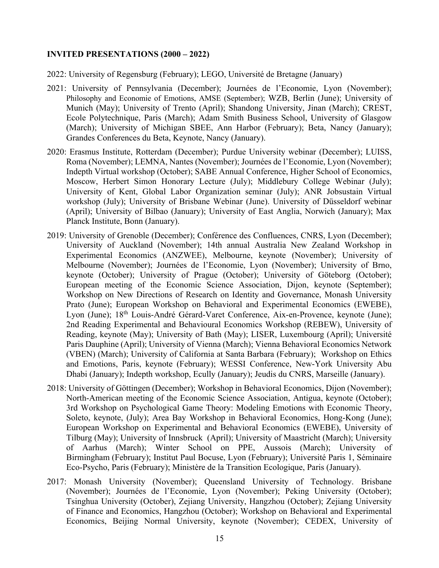#### **INVITED PRESENTATIONS (2000 – 2022)**

2022: University of Regensburg (February); LEGO, Université de Bretagne (January)

- 2021: University of Pennsylvania (December); Journées de l'Economie, Lyon (November); Philosophy and Economie of Emotions, AMSE (September); WZB, Berlin (June); University of Munich (May); University of Trento (April); Shandong University, Jinan (March); CREST, Ecole Polytechnique, Paris (March); Adam Smith Business School, University of Glasgow (March); University of Michigan SBEE, Ann Harbor (February); Beta, Nancy (January); Grandes Conferences du Beta, Keynote, Nancy (January).
- 2020: Erasmus Institute, Rotterdam (December); Purdue University webinar (December); LUISS, Roma (November); LEMNA, Nantes (November); Journées de l'Economie, Lyon (November); Indepth Virtual workshop (October); SABE Annual Conference, Higher School of Economics, Moscow, Herbert Simon Honorary Lecture (July); Middlebury College Webinar (July); University of Kent, Global Labor Organization seminar (July); ANR Jobsustain Virtual workshop (July); University of Brisbane Webinar (June). University of Düsseldorf webinar (April); University of Bilbao (January); University of East Anglia, Norwich (January); Max Planck Institute, Bonn (January).
- 2019: University of Grenoble (December); Conférence des Confluences, CNRS, Lyon (December); University of Auckland (November); 14th annual Australia New Zealand Workshop in Experimental Economics (ANZWEE), Melbourne, keynote (November); University of Melbourne (November); Journées de l'Economie, Lyon (November); University of Brno, keynote (October); University of Prague (October); University of Göteborg (October); European meeting of the Economic Science Association, Dijon, keynote (September); Workshop on New Directions of Research on Identity and Governance, Monash University Prato (June); European Workshop on Behavioral and Experimental Economics (EWEBE), Lyon (June); 18<sup>th</sup> Louis-André Gérard-Varet Conference, Aix-en-Provence, keynote (June); 2nd Reading Experimental and Behavioural Economics Workshop (REBEW), University of Reading, keynote (May); University of Bath (May); LISER, Luxembourg (April); Université Paris Dauphine (April); University of Vienna (March); Vienna Behavioral Economics Network (VBEN) (March); University of California at Santa Barbara (February); Workshop on Ethics and Emotions, Paris, keynote (February); WESSI Conference, New-York University Abu Dhabi (January); Indepth workshop, Ecully (January); Jeudis du CNRS, Marseille (January).
- 2018: University of Göttingen (December); Workshop in Behavioral Economics, Dijon (November); North-American meeting of the Economic Science Association, Antigua, keynote (October); 3rd Workshop on Psychological Game Theory: Modeling Emotions with Economic Theory, Soleto, keynote, (July); Area Bay Workshop in Behavioral Economics, Hong-Kong (June); European Workshop on Experimental and Behavioral Economics (EWEBE), University of Tilburg (May); University of Innsbruck (April); University of Maastricht (March); University of Aarhus (March); Winter School on PPE, Aussois (March); University of Birmingham (February); Institut Paul Bocuse, Lyon (February); Université Paris 1, Séminaire Eco-Psycho, Paris (February); Ministère de la Transition Ecologique, Paris (January).
- 2017: Monash University (November); Queensland University of Technology. Brisbane (November); Journées de l'Economie, Lyon (November); Peking University (October); Tsinghua University (October), Zejiang University, Hangzhou (October); Zejiang University of Finance and Economics, Hangzhou (October); Workshop on Behavioral and Experimental Economics, Beijing Normal University, keynote (November); CEDEX, University of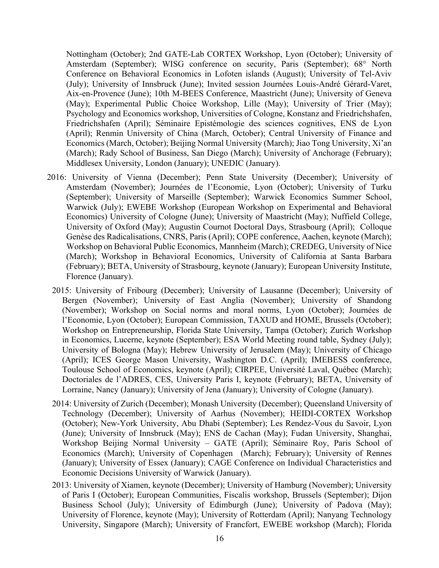Nottingham (October); 2nd GATE-Lab CORTEX Workshop, Lyon (October); University of Amsterdam (September); WISG conference on security, Paris (September); 68° North Conference on Behavioral Economics in Lofoten islands (August); University of Tel-Aviv (July); University of Innsbruck (June); Invited session Journées Louis-André Gérard-Varet, Aix-en-Provence (June); 10th M-BEES Conference, Maastricht (June); University of Geneva (May); Experimental Public Choice Workshop, Lille (May); University of Trier (May); Psychology and Economics workshop, Universities of Cologne, Konstanz and Friedrichshafen, Friedrichshafen (April); Séminaire Epistémologie des sciences cognitives, ENS de Lyon (April); Renmin University of China (March, October); Central University of Finance and Economics (March, October); Beijing Normal University (March); Jiao Tong University, Xi'an (March); Rady School of Business, San Diego (March); University of Anchorage (February); Middlesex University, London (January); UNEDIC (January).

- 2016: University of Vienna (December); Penn State University (December); University of Amsterdam (November); Journées de l'Economie, Lyon (October); University of Turku (September); University of Marseille (September); Warwick Economics Summer School, Warwick (July); EWEBE Workshop (European Workshop on Experimental and Behavioral Economics) University of Cologne (June); University of Maastricht (May); Nuffield College, University of Oxford (May); Augustin Cournot Doctoral Days, Strasbourg (April); Colloque Genèse des Radicalisations, CNRS, Paris (April); COPE conference, Aachen, keynote (March); Workshop on Behavioral Public Economics, Mannheim (March); CREDEG, University of Nice (March); Workshop in Behavioral Economics, University of California at Santa Barbara (February); BETA, University of Strasbourg, keynote (January); European University Institute, Florence (January).
	- 2015: University of Fribourg (December); University of Lausanne (December); University of Bergen (November); University of East Anglia (November); University of Shandong (November); Workshop on Social norms and moral norms, Lyon (October); Journées de l'Economie, Lyon (October); European Commission, TAXUD and HOME, Brussels (October); Workshop on Entrepreneurship, Florida State University, Tampa (October); Zurich Workshop in Economics, Lucerne, keynote (September); ESA World Meeting round table, Sydney (July); University of Bologna (May); Hebrew University of Jerusalem (May); University of Chicago (April); ICES George Mason University, Washington D.C. (April); IMEBESS conference, Toulouse School of Economics, keynote (April); CIRPEE, Université Laval, Québec (March); Doctoriales de l'ADRES, CES, University Paris I, keynote (February); BETA, University of Lorraine, Nancy (January); University of Jena (January); University of Cologne (January).
	- 2014: University of Zurich (December); Monash University (December); Queensland University of Technology (December); University of Aarhus (November); HEIDI-CORTEX Workshop (October); New-York University, Abu Dhabi (September); Les Rendez-Vous du Savoir, Lyon (June); University of Innsbruck (May); ENS de Cachan (May); Fudan University, Shanghai, Workshop Beijing Normal University – GATE (April); Séminaire Roy, Paris School of Economics (March); University of Copenhagen (March); February); University of Rennes (January); University of Essex (January); CAGE Conference on Individual Characteristics and Economic Decisions University of Warwick (January).
	- 2013: University of Xiamen, keynote (December); University of Hamburg (November); University of Paris I (October); European Communities, Fiscalis workshop, Brussels (September); Dijon Business School (July); University of Edimburgh (June); University of Padova (May); University of Florence, keynote (May); University of Rotterdam (April); Nanyang Technology University, Singapore (March); University of Francfort, EWEBE workshop (March); Florida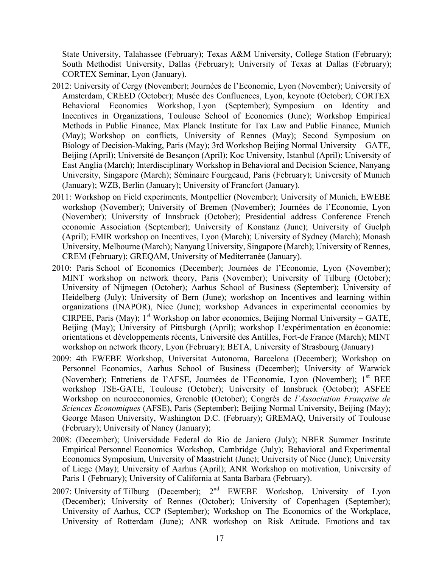State University, Talahassee (February); Texas A&M University, College Station (February); South Methodist University, Dallas (February); University of Texas at Dallas (February); CORTEX Seminar, Lyon (January).

- 2012: University of Cergy (November); Journées de l'Economie, Lyon (November); University of Amsterdam, CREED (October); Musée des Confluences, Lyon, keynote (October); CORTEX Behavioral Economics Workshop, Lyon (September); Symposium on Identity and Incentives in Organizations, Toulouse School of Economics (June); Workshop Empirical Methods in Public Finance, Max Planck Institute for Tax Law and Public Finance, Munich (May); Workshop on conflicts, University of Rennes (May); Second Symposium on Biology of Decision-Making, Paris (May); 3rd Workshop Beijing Normal University – GATE, Beijing (April); Université de Besançon (April); Koc University, Istanbul (April); University of East Anglia (March); Interdisciplinary Workshop in Behavioral and Decision Science, Nanyang University, Singapore (March); Séminaire Fourgeaud, Paris (February); University of Munich (January); WZB, Berlin (January); University of Francfort (January).
- 2011: Workshop on Field experiments, Montpellier (November); University of Munich, EWEBE workshop (November); University of Bremen (November); Journées de l'Economie, Lyon (November); University of Innsbruck (October); Presidential address Conference French economic Association (September); University of Konstanz (June); University of Guelph (April); EMIR workshop on Incentives, Lyon (March); University of Sydney (March); Monash University, Melbourne (March); Nanyang University, Singapore (March); University of Rennes, CREM (February); GREQAM, University of Mediterranée (January).
- 2010: Paris School of Economics (December); Journées de l'Economie, Lyon (November); MINT workshop on network theory, Paris (November); University of Tilburg (October); University of Nijmegen (October); Aarhus School of Business (September); University of Heidelberg (July); University of Bern (June); workshop on Incentives and learning within organizations (INAPOR), Nice (June); workshop Advances in experimental economics by CIRPEE, Paris (May);  $1<sup>st</sup>$  Workshop on labor economics, Beijing Normal University – GATE, Beijing (May); University of Pittsburgh (April); workshop L'expérimentation en économie: orientations et développements récents, Université des Antilles, Fort-de France (March); MINT workshop on network theory, Lyon (February); BETA, University of Strasbourg (January)
- 2009: 4th EWEBE Workshop, Universitat Autonoma, Barcelona (December); Workshop on Personnel Economics, Aarhus School of Business (December); University of Warwick (November); Entretiens de l'AFSE, Journées de l'Economie, Lyon (November); 1<sup>st</sup> BEE workshop TSE-GATE, Toulouse (October); University of Innsbruck (October); ASFEE Workshop on neuroeconomics, Grenoble (October); Congrès de *l'Association Française de Sciences Economiques* (AFSE), Paris (September); Beijing Normal University, Beijing (May); George Mason University, Washington D.C. (February); GREMAQ, University of Toulouse (February); University of Nancy (January);
- 2008: (December); Universidade Federal do Rio de Janiero (July); NBER Summer Institute Empirical Personnel Economics Workshop, Cambridge (July); Behavioral and Experimental Economics Symposium, University of Maastricht (June); University of Nice (June); University of Liege (May); University of Aarhus (April); ANR Workshop on motivation, University of Paris 1 (February); University of California at Santa Barbara (February).
- 2007: University of Tilburg (December);  $2<sup>nd</sup>$  EWEBE Workshop, University of Lyon (December); University of Rennes (October); University of Copenhagen (September); University of Aarhus, CCP (September); Workshop on The Economics of the Workplace, University of Rotterdam (June); ANR workshop on Risk Attitude. Emotions and tax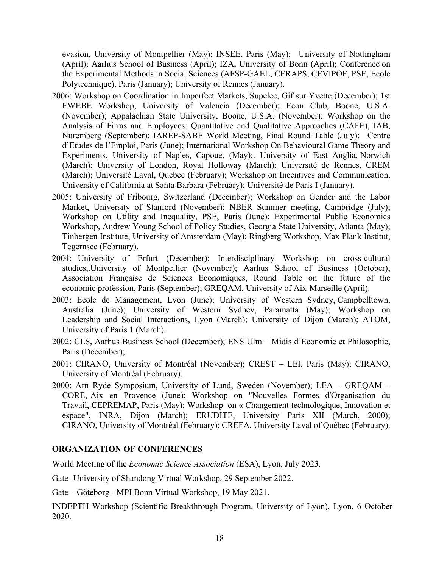evasion, University of Montpellier (May); INSEE, Paris (May); University of Nottingham (April); Aarhus School of Business (April); IZA, University of Bonn (April); Conference on the Experimental Methods in Social Sciences (AFSP-GAEL, CERAPS, CEVIPOF, PSE, Ecole Polytechnique), Paris (January); University of Rennes (January).

- 2006: Workshop on Coordination in Imperfect Markets, Supelec, Gif sur Yvette (December); 1st EWEBE Workshop, University of Valencia (December); Econ Club, Boone, U.S.A. (November); Appalachian State University, Boone, U.S.A. (November); Workshop on the Analysis of Firms and Employees: Quantitative and Qualitative Approaches (CAFE), IAB, Nuremberg (September); IAREP-SABE World Meeting, Final Round Table (July); Centre d'Etudes de l'Emploi, Paris (June); International Workshop On Behavioural Game Theory and Experiments, University of Naples, Capoue, (May);. University of East Anglia, Norwich (March); University of London, Royal Holloway (March); Université de Rennes, CREM (March); Université Laval, Québec (February); Workshop on Incentives and Communication, University of California at Santa Barbara (February); Université de Paris I (January).
- 2005: University of Fribourg, Switzerland (December); Workshop on Gender and the Labor Market, University of Stanford (November); NBER Summer meeting, Cambridge (July); Workshop on Utility and Inequality, PSE, Paris (June); Experimental Public Economics Workshop, Andrew Young School of Policy Studies, Georgia State University, Atlanta (May); Tinbergen Institute, University of Amsterdam (May); Ringberg Workshop, Max Plank Institut, Tegernsee (February).
- 2004: University of Erfurt (December); Interdisciplinary Workshop on cross-cultural studies,.University of Montpellier (November); Aarhus School of Business (October); Association Française de Sciences Economiques, Round Table on the future of the economic profession, Paris (September); GREQAM, University of Aix-Marseille (April).
- 2003: Ecole de Management, Lyon (June); University of Western Sydney, Campbelltown, Australia (June); University of Western Sydney, Paramatta (May); Workshop on Leadership and Social Interactions, Lyon (March); University of Dijon (March); ATOM, University of Paris 1 (March).
- 2002: CLS, Aarhus Business School (December); ENS Ulm Midis d'Economie et Philosophie, Paris (December);
- 2001: CIRANO, University of Montréal (November); CREST LEI, Paris (May); CIRANO, University of Montréal (February).
- 2000: Arn Ryde Symposium, University of Lund, Sweden (November); LEA GREQAM CORE, Aix en Provence (June); Workshop on "Nouvelles Formes d'Organisation du Travail, CEPREMAP, Paris (May); Workshop on « Changement technologique, Innovation et espace", INRA, Dijon (March); ERUDITE, University Paris XII (March, 2000); CIRANO, University of Montréal (February); CREFA, University Laval of Québec (February).

#### **ORGANIZATION OF CONFERENCES**

World Meeting of the *Economic Science Association* (ESA), Lyon, July 2023.

Gate- University of Shandong Virtual Workshop, 29 September 2022.

Gate – Göteborg - MPI Bonn Virtual Workshop, 19 May 2021.

INDEPTH Workshop (Scientific Breakthrough Program, University of Lyon), Lyon, 6 October 2020.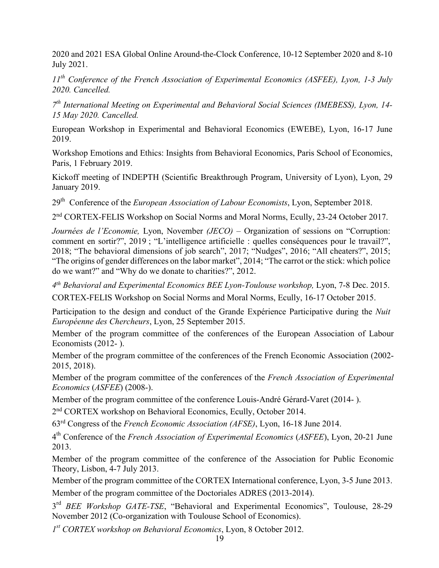2020 and 2021 ESA Global Online Around-the-Clock Conference, 10-12 September 2020 and 8-10 July 2021.

*11th Conference of the French Association of Experimental Economics (ASFEE), Lyon, 1-3 July 2020. Cancelled.*

*7th International Meeting on Experimental and Behavioral Social Sciences (IMEBESS), Lyon, 14- 15 May 2020. Cancelled.*

European Workshop in Experimental and Behavioral Economics (EWEBE), Lyon, 16-17 June 2019.

Workshop Emotions and Ethics: Insights from Behavioral Economics, Paris School of Economics, Paris, 1 February 2019.

Kickoff meeting of INDEPTH (Scientific Breakthrough Program, University of Lyon), Lyon, 29 January 2019.

29th Conference of the *European Association of Labour Economists*, Lyon, September 2018.

2nd CORTEX-FELIS Workshop on Social Norms and Moral Norms, Ecully, 23-24 October 2017.

*Journées de l'Economie,* Lyon, November *(JECO)* – Organization of sessions on "Corruption: comment en sortir?", 2019 ; "L'intelligence artificielle : quelles conséquences pour le travail?", 2018; "The behavioral dimensions of job search", 2017; "Nudges", 2016; "All cheaters?", 2015; "The origins of gender differences on the labor market", 2014; "The carrot or the stick: which police do we want?" and "Why do we donate to charities?", 2012.

*4th Behavioral and Experimental Economics BEE Lyon-Toulouse workshop,* Lyon, 7-8 Dec. 2015. CORTEX-FELIS Workshop on Social Norms and Moral Norms, Ecully, 16-17 October 2015.

Participation to the design and conduct of the Grande Expérience Participative during the *Nuit Européenne des Chercheurs*, Lyon, 25 September 2015.

Member of the program committee of the conferences of the European Association of Labour Economists (2012- ).

Member of the program committee of the conferences of the French Economic Association (2002- 2015, 2018).

Member of the program committee of the conferences of the *French Association of Experimental Economics* (*ASFEE*) (2008-).

Member of the program committee of the conference Louis-André Gérard-Varet (2014- ).

2nd CORTEX workshop on Behavioral Economics, Ecully, October 2014.

63rd Congress of the *French Economic Association (AFSE)*, Lyon, 16-18 June 2014.

4th Conference of the *French Association of Experimental Economics* (*ASFEE*), Lyon, 20-21 June 2013.

Member of the program committee of the conference of the Association for Public Economic Theory, Lisbon, 4-7 July 2013.

Member of the program committee of the CORTEX International conference, Lyon, 3-5 June 2013. Member of the program committee of the Doctoriales ADRES (2013-2014).

3rd *BEE Workshop GATE-TSE*, "Behavioral and Experimental Economics", Toulouse, 28-29 November 2012 (Co-organization with Toulouse School of Economics).

*1st CORTEX workshop on Behavioral Economics*, Lyon, 8 October 2012.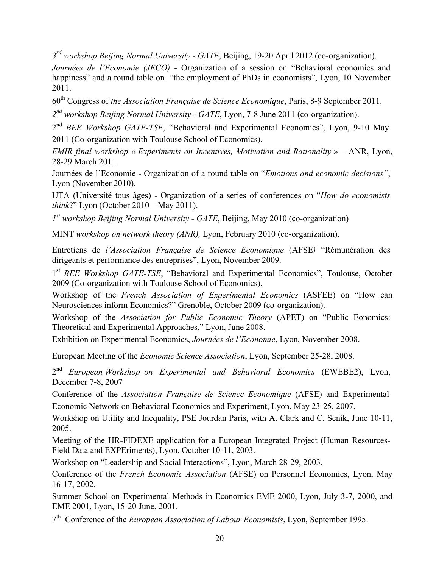*3rd workshop Beijing Normal University* - *GATE*, Beijing, 19-20 April 2012 (co-organization).

*Journées de l'Economie (JECO)* - Organization of a session on "Behavioral economics and happiness" and a round table on "the employment of PhDs in economists", Lyon, 10 November 2011.

60th Congress of *the Association Française de Science Economique*, Paris, 8-9 September 2011.

*2nd workshop Beijing Normal University* - *GATE*, Lyon, 7-8 June 2011 (co-organization).

2nd *BEE Workshop GATE-TSE*, "Behavioral and Experimental Economics", Lyon, 9-10 May 2011 (Co-organization with Toulouse School of Economics).

*EMIR final workshop* « *Experiments on Incentives, Motivation and Rationality* » – ANR, Lyon, 28-29 March 2011.

Journées de l'Economie - Organization of a round table on "*Emotions and economic decisions"*, Lyon (November 2010).

UTA (Université tous âges) - Organization of a series of conferences on "*How do economists think*?" Lyon (October 2010 – May 2011).

*1st workshop Beijing Normal University* - *GATE*, Beijing, May 2010 (co-organization)

MINT *workshop on network theory (ANR),* Lyon, February 2010 (co-organization).

Entretiens de *l'Association Française de Science Economique* (AFSE*)* "Rémunération des dirigeants et performance des entreprises", Lyon, November 2009.

1st *BEE Workshop GATE-TSE*, "Behavioral and Experimental Economics", Toulouse, October 2009 (Co-organization with Toulouse School of Economics).

Workshop of the *French Association of Experimental Economics* (ASFEE) on "How can Neurosciences inform Economics?" Grenoble, October 2009 (co-organization).

Workshop of the *Association for Public Economic Theory* (APET) on "Public Eonomics: Theoretical and Experimental Approaches," Lyon, June 2008.

Exhibition on Experimental Economics, *Journées de l'Economie*, Lyon, November 2008.

European Meeting of the *Economic Science Association*, Lyon, September 25-28, 2008.

2nd *European Workshop on Experimental and Behavioral Economics* (EWEBE2), Lyon, December 7-8, 2007

Conference of the *Association Française de Science Economique* (AFSE) and Experimental Economic Network on Behavioral Economics and Experiment, Lyon, May 23-25, 2007.

Workshop on Utility and Inequality, PSE Jourdan Paris, with A. Clark and C. Senik, June 10-11, 2005.

Meeting of the HR-FIDEXE application for a European Integrated Project (Human Resources-Field Data and EXPEriments), Lyon, October 10-11, 2003.

Workshop on "Leadership and Social Interactions", Lyon, March 28-29, 2003.

Conference of the *French Economic Association* (AFSE) on Personnel Economics, Lyon, May 16-17, 2002.

Summer School on Experimental Methods in Economics EME 2000, Lyon, July 3-7, 2000, and EME 2001, Lyon, 15-20 June, 2001.

7th Conference of the *European Association of Labour Economists*, Lyon, September 1995.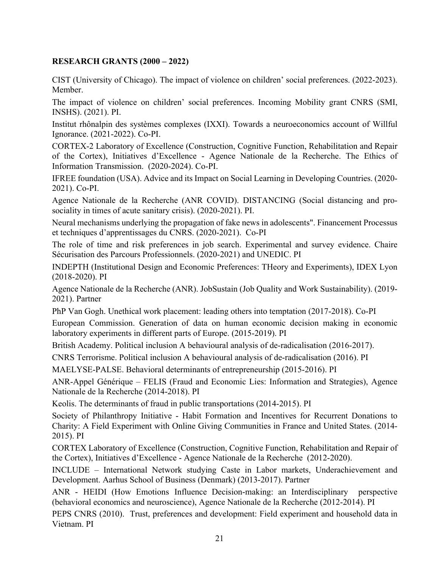# **RESEARCH GRANTS (2000 – 2022)**

CIST (University of Chicago). The impact of violence on children' social preferences. (2022-2023). Member.

The impact of violence on children' social preferences. Incoming Mobility grant CNRS (SMI, INSHS). (2021). PI.

Institut rhônalpin des systèmes complexes (IXXI). Towards a neuroeconomics account of Willful Ignorance. (2021-2022). Co-PI.

CORTEX-2 Laboratory of Excellence (Construction, Cognitive Function, Rehabilitation and Repair of the Cortex), Initiatives d'Excellence - Agence Nationale de la Recherche. The Ethics of Information Transmission. (2020-2024). Co-PI.

IFREE foundation (USA). Advice and its Impact on Social Learning in Developing Countries. (2020- 2021). Co-PI.

Agence Nationale de la Recherche (ANR COVID). DISTANCING (Social distancing and prosociality in times of acute sanitary crisis). (2020-2021). PI.

Neural mechanisms underlying the propagation of fake news in adolescents". Financement Processus et techniques d'apprentissages du CNRS. (2020-2021). Co-PI

The role of time and risk preferences in job search. Experimental and survey evidence. Chaire Sécurisation des Parcours Professionnels. (2020-2021) and UNEDIC. PI

INDEPTH (Institutional Design and Economic Preferences: THeory and Experiments), IDEX Lyon (2018-2020). PI

Agence Nationale de la Recherche (ANR). JobSustain (Job Quality and Work Sustainability). (2019- 2021). Partner

PhP Van Gogh. Unethical work placement: leading others into temptation (2017-2018). Co-PI

European Commission. Generation of data on human economic decision making in economic laboratory experiments in different parts of Europe. (2015-2019). PI

British Academy. Political inclusion A behavioural analysis of de-radicalisation (2016-2017).

CNRS Terrorisme. Political inclusion A behavioural analysis of de-radicalisation (2016). PI

MAELYSE-PALSE. Behavioral determinants of entrepreneurship (2015-2016). PI

ANR-Appel Générique – FELIS (Fraud and Economic Lies: Information and Strategies), Agence Nationale de la Recherche (2014-2018). PI

Keolis. The determinants of fraud in public transportations (2014-2015). PI

Society of Philanthropy Initiative - Habit Formation and Incentives for Recurrent Donations to Charity: A Field Experiment with Online Giving Communities in France and United States. (2014- 2015). PI

CORTEX Laboratory of Excellence (Construction, Cognitive Function, Rehabilitation and Repair of the Cortex), Initiatives d'Excellence - Agence Nationale de la Recherche (2012-2020).

INCLUDE – International Network studying Caste in Labor markets, Underachievement and Development. Aarhus School of Business (Denmark) (2013-2017). Partner

ANR - HEIDI (How Emotions Influence Decision-making: an Interdisciplinary perspective (behavioral economics and neuroscience), Agence Nationale de la Recherche (2012-2014). PI

PEPS CNRS (2010). Trust, preferences and development: Field experiment and household data in Vietnam. PI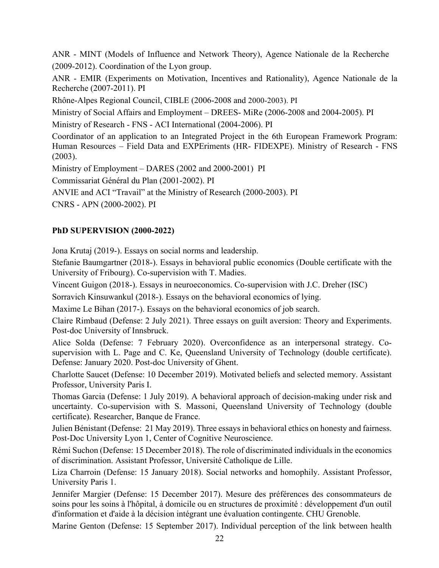ANR - MINT (Models of Influence and Network Theory), Agence Nationale de la Recherche (2009-2012). Coordination of the Lyon group.

ANR - EMIR (Experiments on Motivation, Incentives and Rationality), Agence Nationale de la Recherche (2007-2011). PI

Rhône-Alpes Regional Council, CIBLE (2006-2008 and 2000-2003). PI

Ministry of Social Affairs and Employment – DREES- MiRe (2006-2008 and 2004-2005). PI

Ministry of Research - FNS - ACI International (2004-2006). PI

Coordinator of an application to an Integrated Project in the 6th European Framework Program: Human Resources – Field Data and EXPEriments (HR- FIDEXPE). Ministry of Research - FNS (2003).

Ministry of Employment – DARES (2002 and 2000-2001) PI

Commissariat Général du Plan (2001-2002). PI

ANVIE and ACI "Travail" at the Ministry of Research (2000-2003). PI

CNRS - APN (2000-2002). PI

# **PhD SUPERVISION (2000-2022)**

Jona Krutaj (2019-). Essays on social norms and leadership.

Stefanie Baumgartner (2018-). Essays in behavioral public economics (Double certificate with the University of Fribourg). Co-supervision with T. Madies.

Vincent Guigon (2018-). Essays in neuroeconomics. Co-supervision with J.C. Dreher (ISC)

Sorravich Kinsuwankul (2018-). Essays on the behavioral economics of lying.

Maxime Le Bihan (2017-). Essays on the behavioral economics of job search.

Claire Rimbaud (Defense: 2 July 2021). Three essays on guilt aversion: Theory and Experiments. Post-doc University of Innsbruck.

Alice Solda (Defense: 7 February 2020). Overconfidence as an interpersonal strategy. Cosupervision with L. Page and C. Ke, Queensland University of Technology (double certificate). Defense: January 2020. Post-doc University of Ghent.

Charlotte Saucet (Defense: 10 December 2019). Motivated beliefs and selected memory. Assistant Professor, University Paris I.

Thomas Garcia (Defense: 1 July 2019). A behavioral approach of decision-making under risk and uncertainty. Co-supervision with S. Massoni, Queensland University of Technology (double certificate). Researcher, Banque de France.

Julien Bénistant (Defense: 21 May 2019). Three essays in behavioral ethics on honesty and fairness. Post-Doc University Lyon 1, Center of Cognitive Neuroscience.

Rémi Suchon (Defense: 15 December 2018). The role of discriminated individuals in the economics of discrimination. Assistant Professor, Université Catholique de Lille.

Liza Charroin (Defense: 15 January 2018). Social networks and homophily. Assistant Professor, University Paris 1.

Jennifer Margier (Defense: 15 December 2017). Mesure des préférences des consommateurs de soins pour les soins à l'hôpital, à domicile ou en structures de proximité : développement d'un outil d'information et d'aide à la décision intégrant une évaluation contingente. CHU Grenoble.

Marine Genton (Defense: 15 September 2017). Individual perception of the link between health